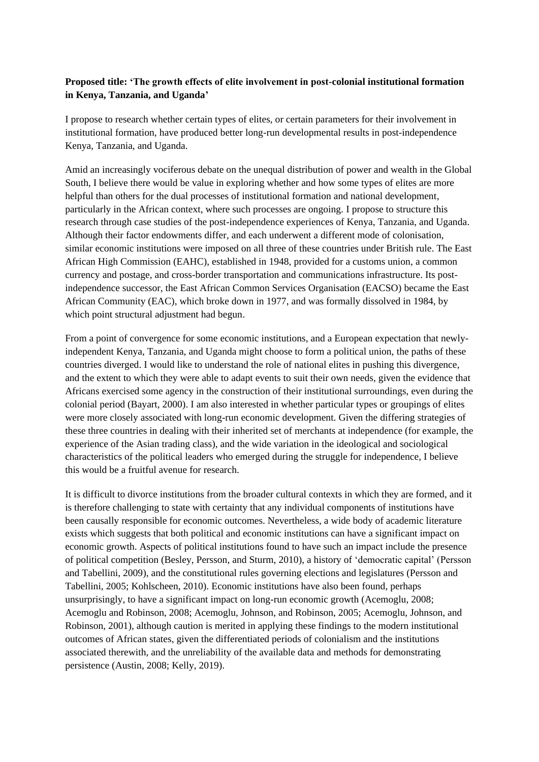## **Proposed title: 'The growth effects of elite involvement in post-colonial institutional formation in Kenya, Tanzania, and Uganda'**

I propose to research whether certain types of elites, or certain parameters for their involvement in institutional formation, have produced better long-run developmental results in post-independence Kenya, Tanzania, and Uganda.

Amid an increasingly vociferous debate on the unequal distribution of power and wealth in the Global South, I believe there would be value in exploring whether and how some types of elites are more helpful than others for the dual processes of institutional formation and national development, particularly in the African context, where such processes are ongoing. I propose to structure this research through case studies of the post-independence experiences of Kenya, Tanzania, and Uganda. Although their factor endowments differ, and each underwent a different mode of colonisation, similar economic institutions were imposed on all three of these countries under British rule. The East African High Commission (EAHC), established in 1948, provided for a customs union, a common currency and postage, and cross-border transportation and communications infrastructure. Its postindependence successor, the East African Common Services Organisation (EACSO) became the East African Community (EAC), which broke down in 1977, and was formally dissolved in 1984, by which point structural adjustment had begun.

From a point of convergence for some economic institutions, and a European expectation that newlyindependent Kenya, Tanzania, and Uganda might choose to form a political union, the paths of these countries diverged. I would like to understand the role of national elites in pushing this divergence, and the extent to which they were able to adapt events to suit their own needs, given the evidence that Africans exercised some agency in the construction of their institutional surroundings, even during the colonial period (Bayart, 2000). I am also interested in whether particular types or groupings of elites were more closely associated with long-run economic development. Given the differing strategies of these three countries in dealing with their inherited set of merchants at independence (for example, the experience of the Asian trading class), and the wide variation in the ideological and sociological characteristics of the political leaders who emerged during the struggle for independence, I believe this would be a fruitful avenue for research.

It is difficult to divorce institutions from the broader cultural contexts in which they are formed, and it is therefore challenging to state with certainty that any individual components of institutions have been causally responsible for economic outcomes. Nevertheless, a wide body of academic literature exists which suggests that both political and economic institutions can have a significant impact on economic growth. Aspects of political institutions found to have such an impact include the presence of political competition (Besley, Persson, and Sturm, 2010), a history of 'democratic capital' (Persson and Tabellini, 2009), and the constitutional rules governing elections and legislatures (Persson and Tabellini, 2005; Kohlscheen, 2010). Economic institutions have also been found, perhaps unsurprisingly, to have a significant impact on long-run economic growth (Acemoglu, 2008; Acemoglu and Robinson, 2008; Acemoglu, Johnson, and Robinson, 2005; Acemoglu, Johnson, and Robinson, 2001), although caution is merited in applying these findings to the modern institutional outcomes of African states, given the differentiated periods of colonialism and the institutions associated therewith, and the unreliability of the available data and methods for demonstrating persistence (Austin, 2008; Kelly, 2019).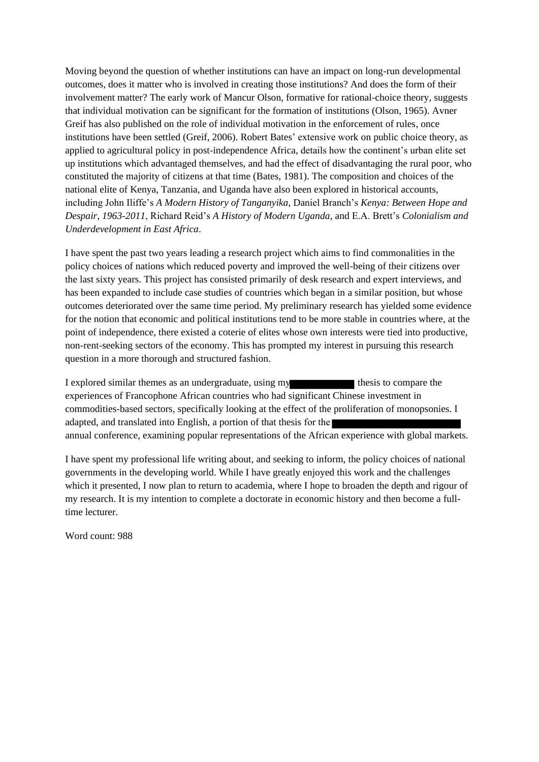Moving beyond the question of whether institutions can have an impact on long-run developmental outcomes, does it matter who is involved in creating those institutions? And does the form of their involvement matter? The early work of Mancur Olson, formative for rational-choice theory, suggests that individual motivation can be significant for the formation of institutions (Olson, 1965). Avner Greif has also published on the role of individual motivation in the enforcement of rules, once institutions have been settled (Greif, 2006). Robert Bates' extensive work on public choice theory, as applied to agricultural policy in post-independence Africa, details how the continent's urban elite set up institutions which advantaged themselves, and had the effect of disadvantaging the rural poor, who constituted the majority of citizens at that time (Bates, 1981). The composition and choices of the national elite of Kenya, Tanzania, and Uganda have also been explored in historical accounts, including John Iliffe's *A Modern History of Tanganyika*, Daniel Branch's *Kenya: Between Hope and Despair, 1963-2011*, Richard Reid's *A History of Modern Uganda*, and E.A. Brett's *Colonialism and Underdevelopment in East Africa*.

I have spent the past two years leading a research project which aims to find commonalities in the policy choices of nations which reduced poverty and improved the well-being of their citizens over the last sixty years. This project has consisted primarily of desk research and expert interviews, and has been expanded to include case studies of countries which began in a similar position, but whose outcomes deteriorated over the same time period. My preliminary research has yielded some evidence for the notion that economic and political institutions tend to be more stable in countries where, at the point of independence, there existed a coterie of elites whose own interests were tied into productive, non-rent-seeking sectors of the economy. This has prompted my interest in pursuing this research question in a more thorough and structured fashion.

I explored similar themes as an undergraduate, using my thesis to compare the experiences of Francophone African countries who had significant Chinese investment in commodities-based sectors, specifically looking at the effect of the proliferation of monopsonies. I adapted, and translated into English, a portion of that thesis for the annual conference, examining popular representations of the African experience with global markets.

I have spent my professional life writing about, and seeking to inform, the policy choices of national governments in the developing world. While I have greatly enjoyed this work and the challenges which it presented, I now plan to return to academia, where I hope to broaden the depth and rigour of my research. It is my intention to complete a doctorate in economic history and then become a fulltime lecturer.

Word count: 988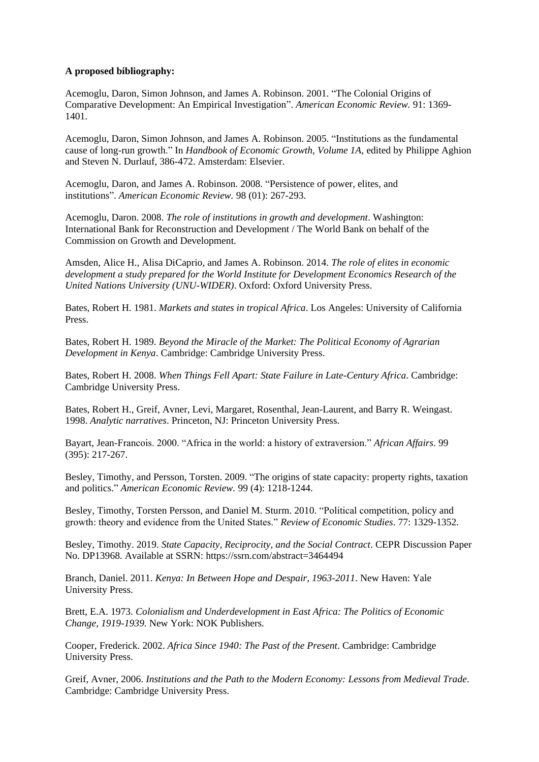## **A proposed bibliography:**

Acemoglu, Daron, Simon Johnson, and James A. Robinson. 2001. "The Colonial Origins of Comparative Development: An Empirical Investigation". *American Economic Review.* 91: 1369- 1401.

Acemoglu, Daron, Simon Johnson, and James A. Robinson. 2005. "Institutions as the fundamental cause of long-run growth." In *Handbook of Economic Growth, Volume 1A,* edited by Philippe Aghion and Steven N. Durlauf, 386-472. Amsterdam: Elsevier.

Acemoglu, Daron, and James A. Robinson. 2008. "Persistence of power, elites, and institutions". *American Economic Review.* 98 (01): 267-293.

Acemoglu, Daron. 2008. *The role of institutions in growth and development*. Washington: International Bank for Reconstruction and Development / The World Bank on behalf of the Commission on Growth and Development.

Amsden, Alice H., Alisa DiCaprio, and James A. Robinson. 2014. *The role of elites in economic development a study prepared for the World Institute for Development Economics Research of the United Nations University (UNU-WIDER)*. Oxford: Oxford University Press.

Bates, Robert H. 1981. *Markets and states in tropical Africa*. Los Angeles: University of California Press.

Bates, Robert H. 1989. *Beyond the Miracle of the Market: The Political Economy of Agrarian Development in Kenya*. Cambridge: Cambridge University Press.

Bates, Robert H. 2008. *When Things Fell Apart: State Failure in Late-Century Africa*. Cambridge: Cambridge University Press.

Bates, Robert H., Greif, Avner, Levi, Margaret, Rosenthal, Jean-Laurent, and Barry R. Weingast. 1998. *Analytic narratives*. Princeton, NJ: Princeton University Press.

Bayart, Jean-Francois. 2000. "Africa in the world: a history of extraversion." *African Affairs*. 99 (395): 217-267.

Besley, Timothy, and Persson, Torsten. 2009. "The origins of state capacity: property rights, taxation and politics." *American Economic Review.* 99 (4): 1218-1244.

Besley, Timothy, Torsten Persson, and Daniel M. Sturm. 2010. "Political competition, policy and growth: theory and evidence from the United States." *Review of Economic Studies*. 77: 1329-1352.

Besley, Timothy. 2019. *State Capacity, Reciprocity, and the Social Contract*. CEPR Discussion Paper No. DP13968. Available at SSRN: https://ssrn.com/abstract=3464494

Branch, Daniel. 2011. *Kenya: In Between Hope and Despair, 1963-2011*. New Haven: Yale University Press.

Brett, E.A. 1973. *Colonialism and Underdevelopment in East Africa: The Politics of Economic Change, 1919-1939.* New York: NOK Publishers.

Cooper, Frederick. 2002. *Africa Since 1940: The Past of the Present*. Cambridge: Cambridge University Press.

Greif, Avner, 2006. *Institutions and the Path to the Modern Economy: Lessons from Medieval Trade*. Cambridge: Cambridge University Press.